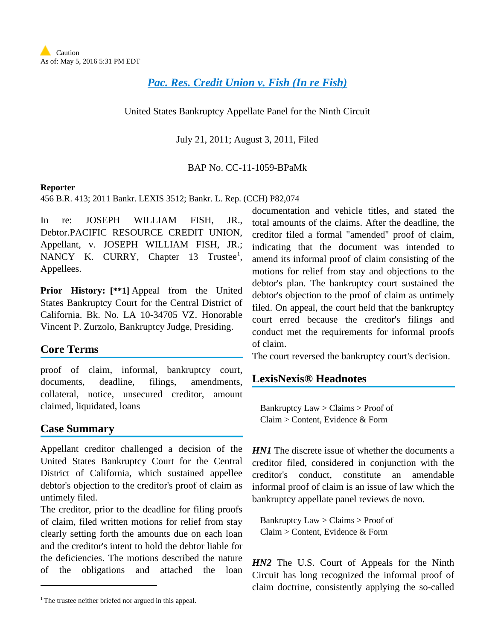# *[Pac. Res. Credit Union v. Fish \(In re Fish\)](http://advance.lexis.com/api/document?collection=cases&id=urn:contentItem:837G-M701-652F-9022-00000-00&context=1000516)*

United States Bankruptcy Appellate Panel for the Ninth Circuit

July 21, 2011; August 3, 2011, Filed

BAP No. CC-11-1059-BPaMk

#### **Reporter**

456 B.R. 413; 2011 Bankr. LEXIS 3512; Bankr. L. Rep. (CCH) P82,074

In re: JOSEPH WILLIAM FISH, JR., Debtor.PACIFIC RESOURCE CREDIT UNION, Appellant, v. JOSEPH WILLIAM FISH, JR.; NANCY K. CURRY, Chapter [1](#page-0-0)3 Trustee<sup>1</sup>, Appellees.

**Prior History: [\*\*1]** Appeal from the United States Bankruptcy Court for the Central District of California. Bk. No. LA 10-34705 VZ. Honorable Vincent P. Zurzolo, Bankruptcy Judge, Presiding.

## **Core Terms**

proof of claim, informal, bankruptcy court, documents, deadline, filings, amendments, collateral, notice, unsecured creditor, amount claimed, liquidated, loans

### **Case Summary**

 $\overline{a}$ 

Appellant creditor challenged a decision of the United States Bankruptcy Court for the Central District of California, which sustained appellee debtor's objection to the creditor's proof of claim as untimely filed.

The creditor, prior to the deadline for filing proofs of claim, filed written motions for relief from stay clearly setting forth the amounts due on each loan and the creditor's intent to hold the debtor liable for the deficiencies. The motions described the nature of the obligations and attached the loan

documentation and vehicle titles, and stated the total amounts of the claims. After the deadline, the creditor filed a formal "amended" proof of claim, indicating that the document was intended to amend its informal proof of claim consisting of the motions for relief from stay and objections to the debtor's plan. The bankruptcy court sustained the debtor's objection to the proof of claim as untimely filed. On appeal, the court held that the bankruptcy court erred because the creditor's filings and conduct met the requirements for informal proofs of claim.

The court reversed the bankruptcy court's decision.

## **LexisNexis® Headnotes**

Bankruptcy Law > Claims > Proof of Claim > Content, Evidence & Form

*HN1* The discrete issue of whether the documents a creditor filed, considered in conjunction with the creditor's conduct, constitute an amendable informal proof of claim is an issue of law which the bankruptcy appellate panel reviews de novo.

Bankruptcy Law > Claims > Proof of Claim > Content, Evidence & Form

*HN2* The U.S. Court of Appeals for the Ninth Circuit has long recognized the informal proof of claim doctrine, consistently applying the so-called

<span id="page-0-0"></span><sup>&</sup>lt;sup>1</sup> The trustee neither briefed nor argued in this appeal.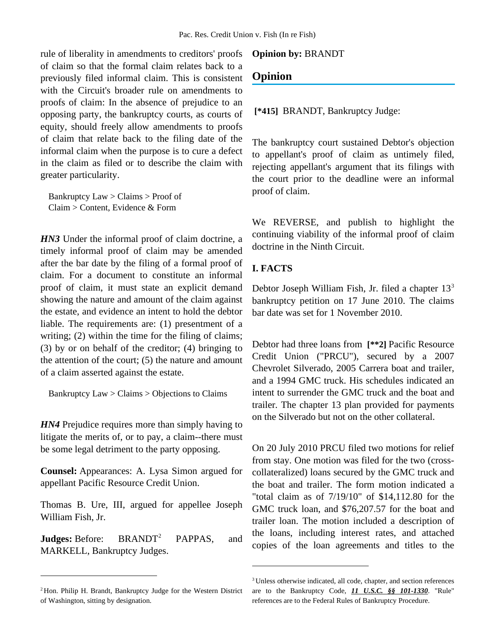rule of liberality in amendments to creditors' proofs of claim so that the formal claim relates back to a previously filed informal claim. This is consistent with the Circuit's broader rule on amendments to proofs of claim: In the absence of prejudice to an opposing party, the bankruptcy courts, as courts of equity, should freely allow amendments to proofs of claim that relate back to the filing date of the informal claim when the purpose is to cure a defect in the claim as filed or to describe the claim with greater particularity.

Bankruptcy Law > Claims > Proof of Claim > Content, Evidence & Form

*HN3* Under the informal proof of claim doctrine, a timely informal proof of claim may be amended after the bar date by the filing of a formal proof of claim. For a document to constitute an informal proof of claim, it must state an explicit demand showing the nature and amount of the claim against the estate, and evidence an intent to hold the debtor liable. The requirements are: (1) presentment of a writing; (2) within the time for the filing of claims; (3) by or on behalf of the creditor; (4) bringing to the attention of the court; (5) the nature and amount of a claim asserted against the estate.

Bankruptcy Law > Claims > Objections to Claims

*HN4* Prejudice requires more than simply having to litigate the merits of, or to pay, a claim--there must be some legal detriment to the party opposing.

**Counsel:** Appearances: A. Lysa Simon argued for appellant Pacific Resource Credit Union.

Thomas B. Ure, III, argued for appellee Joseph William Fish, Jr.

**Judges:** Before: BRANDT<sup>[2](#page-1-0)</sup> PAPPAS, and MARKELL, Bankruptcy Judges.

 $\overline{a}$ 

#### **Opinion by:** BRANDT

## **Opinion**

**[\*415]** BRANDT, Bankruptcy Judge:

The bankruptcy court sustained Debtor's objection to appellant's proof of claim as untimely filed, rejecting appellant's argument that its filings with the court prior to the deadline were an informal proof of claim.

We REVERSE, and publish to highlight the continuing viability of the informal proof of claim doctrine in the Ninth Circuit.

### **I. FACTS**

 $\overline{a}$ 

Debtor Joseph William Fish, Jr. filed a chapter  $13<sup>3</sup>$  $13<sup>3</sup>$  $13<sup>3</sup>$ bankruptcy petition on 17 June 2010. The claims bar date was set for 1 November 2010.

Debtor had three loans from **[\*\*2]** Pacific Resource Credit Union ("PRCU"), secured by a 2007 Chevrolet Silverado, 2005 Carrera boat and trailer, and a 1994 GMC truck. His schedules indicated an intent to surrender the GMC truck and the boat and trailer. The chapter 13 plan provided for payments on the Silverado but not on the other collateral.

On 20 July 2010 PRCU filed two motions for relief from stay. One motion was filed for the two (crosscollateralized) loans secured by the GMC truck and the boat and trailer. The form motion indicated a "total claim as of 7/19/10" of \$14,112.80 for the GMC truck loan, and \$76,207.57 for the boat and trailer loan. The motion included a description of the loans, including interest rates, and attached copies of the loan agreements and titles to the

<span id="page-1-1"></span><span id="page-1-0"></span><sup>2</sup> Hon. Philip H. Brandt, Bankruptcy Judge for the Western District of Washington, sitting by designation.

<sup>3</sup> Unless otherwise indicated, all code, chapter, and section references are to the Bankruptcy Code, *11 U.S.C. §§ 101-1330*. "Rule" references are to the Federal Rules of Bankruptcy Procedure.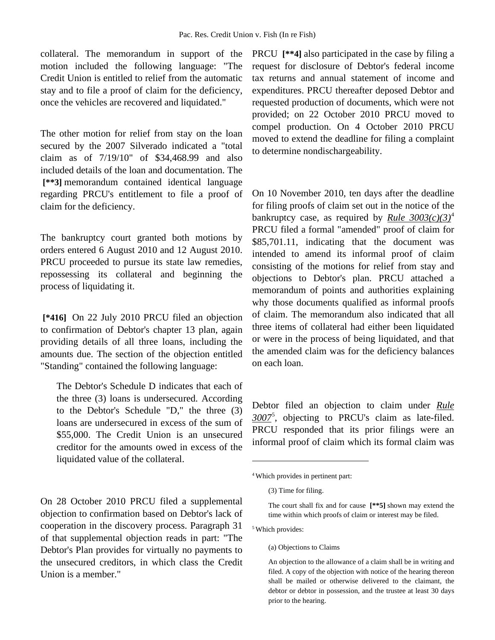collateral. The memorandum in support of the motion included the following language: "The Credit Union is entitled to relief from the automatic stay and to file a proof of claim for the deficiency, once the vehicles are recovered and liquidated."

The other motion for relief from stay on the loan secured by the 2007 Silverado indicated a "total claim as of 7/19/10" of \$34,468.99 and also included details of the loan and documentation. The **[\*\*3]** memorandum contained identical language regarding PRCU's entitlement to file a proof of claim for the deficiency.

The bankruptcy court granted both motions by orders entered 6 August 2010 and 12 August 2010. PRCU proceeded to pursue its state law remedies, repossessing its collateral and beginning the process of liquidating it.

**[\*416]** On 22 July 2010 PRCU filed an objection to confirmation of Debtor's chapter 13 plan, again providing details of all three loans, including the amounts due. The section of the objection entitled "Standing" contained the following language:

The Debtor's Schedule D indicates that each of the three (3) loans is undersecured. According to the Debtor's Schedule "D," the three (3) loans are undersecured in excess of the sum of \$55,000. The Credit Union is an unsecured creditor for the amounts owed in excess of the liquidated value of the collateral.

<span id="page-2-1"></span><span id="page-2-0"></span>On 28 October 2010 PRCU filed a supplemental objection to confirmation based on Debtor's lack of cooperation in the discovery process. Paragraph 31 of that supplemental objection reads in part: "The Debtor's Plan provides for virtually no payments to the unsecured creditors, in which class the Credit Union is a member."

PRCU **[\*\*4]** also participated in the case by filing a request for disclosure of Debtor's federal income tax returns and annual statement of income and expenditures. PRCU thereafter deposed Debtor and requested production of documents, which were not provided; on 22 October 2010 PRCU moved to compel production. On 4 October 2010 PRCU moved to extend the deadline for filing a complaint to determine nondischargeability.

On 10 November 2010, ten days after the deadline for filing proofs of claim set out in the notice of the bankruptcy case, as required by *Rule*  $3003(c)(3)^4$  $3003(c)(3)^4$ PRCU filed a formal "amended" proof of claim for \$85,701.11, indicating that the document was intended to amend its informal proof of claim consisting of the motions for relief from stay and objections to Debtor's plan. PRCU attached a memorandum of points and authorities explaining why those documents qualified as informal proofs of claim. The memorandum also indicated that all three items of collateral had either been liquidated or were in the process of being liquidated, and that the amended claim was for the deficiency balances on each loan.

Debtor filed an objection to claim under *Rule 3007*[5](#page-2-1) , objecting to PRCU's claim as late-filed. PRCU responded that its prior filings were an informal proof of claim which its formal claim was

<sup>5</sup> Which provides:

 $\overline{a}$ 

<sup>4</sup> Which provides in pertinent part:

<sup>(3)</sup> Time for filing.

The court shall fix and for cause **[\*\*5]** shown may extend the time within which proofs of claim or interest may be filed.

<sup>(</sup>a) Objections to Claims

An objection to the allowance of a claim shall be in writing and filed. A copy of the objection with notice of the hearing thereon shall be mailed or otherwise delivered to the claimant, the debtor or debtor in possession, and the trustee at least 30 days prior to the hearing.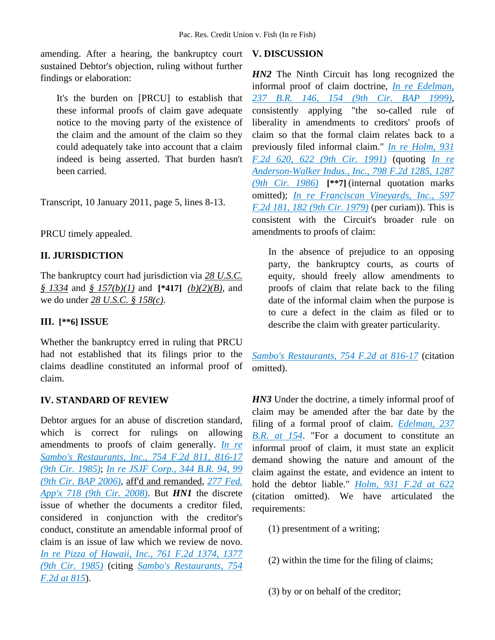amending. After a hearing, the bankruptcy court sustained Debtor's objection, ruling without further findings or elaboration:

It's the burden on [PRCU] to establish that these informal proofs of claim gave adequate notice to the moving party of the existence of the claim and the amount of the claim so they could adequately take into account that a claim indeed is being asserted. That burden hasn't been carried.

Transcript, 10 January 2011, page 5, lines 8-13.

PRCU timely appealed.

### **II. JURISDICTION**

The bankruptcy court had jurisdiction via *28 U.S.C. § 1334* and *§ 157(b)(1)* and **[\*417]** *(b)(2)(B)*, and we do under *28 U.S.C. § 158(c)*.

### **III. [\*\*6] ISSUE**

Whether the bankruptcy erred in ruling that PRCU had not established that its filings prior to the claims deadline constituted an informal proof of claim.

#### **IV. STANDARD OF REVIEW**

Debtor argues for an abuse of discretion standard, which is correct for rulings on allowing amendments to proofs of claim generally. *[In re](http://advance.lexis.com/api/document?collection=cases&id=urn:contentItem:3S4X-JH40-0039-P4MV-00000-00&context=1000516)  [Sambo's Restaurants, Inc., 754 F.2d 811, 816-17](http://advance.lexis.com/api/document?collection=cases&id=urn:contentItem:3S4X-JH40-0039-P4MV-00000-00&context=1000516)  [\(9th Cir. 1985\)](http://advance.lexis.com/api/document?collection=cases&id=urn:contentItem:3S4X-JH40-0039-P4MV-00000-00&context=1000516)*; *[In re JSJF Corp., 344 B.R. 94, 99](http://advance.lexis.com/api/document?collection=cases&id=urn:contentItem:4K1R-4R80-TVXP-23BP-00000-00&context=1000516)  [\(9th Cir. BAP 2006\)](http://advance.lexis.com/api/document?collection=cases&id=urn:contentItem:4K1R-4R80-TVXP-23BP-00000-00&context=1000516)*, aff'd and remanded, *[277 Fed.](http://advance.lexis.com/api/document?collection=cases&id=urn:contentItem:4SGV-K0G0-TXFX-D31P-00000-00&context=1000516)  [App'x 718 \(9th Cir. 2008\)](http://advance.lexis.com/api/document?collection=cases&id=urn:contentItem:4SGV-K0G0-TXFX-D31P-00000-00&context=1000516)*. But *HN1* the discrete issue of whether the documents a creditor filed, considered in conjunction with the creditor's conduct, constitute an amendable informal proof of claim is an issue of law which we review de novo. *[In re Pizza of Hawaii, Inc., 761 F.2d 1374, 1377](http://advance.lexis.com/api/document?collection=cases&id=urn:contentItem:3S4X-H7X0-0039-P055-00000-00&context=1000516)  [\(9th Cir. 1985\)](http://advance.lexis.com/api/document?collection=cases&id=urn:contentItem:3S4X-H7X0-0039-P055-00000-00&context=1000516)* (citing *[Sambo's Restaurants, 754](http://advance.lexis.com/api/document?collection=cases&id=urn:contentItem:3S4X-JH40-0039-P4MV-00000-00&context=1000516)  [F.2d at 815](http://advance.lexis.com/api/document?collection=cases&id=urn:contentItem:3S4X-JH40-0039-P4MV-00000-00&context=1000516)*).

### **V. DISCUSSION**

*HN2* The Ninth Circuit has long recognized the informal proof of claim doctrine, *[In re Edelman,](http://advance.lexis.com/api/document?collection=cases&id=urn:contentItem:3X5Y-2MK0-0039-01W0-00000-00&context=1000516)  [237 B.R. 146, 154 \(9th Cir. BAP 1999\)](http://advance.lexis.com/api/document?collection=cases&id=urn:contentItem:3X5Y-2MK0-0039-01W0-00000-00&context=1000516)*, consistently applying "the so-called rule of liberality in amendments to creditors' proofs of claim so that the formal claim relates back to a previously filed informal claim." *[In re Holm, 931](http://advance.lexis.com/api/document?collection=cases&id=urn:contentItem:3S4X-DCV0-008H-V4Y8-00000-00&context=1000516)  [F.2d 620, 622 \(9th Cir. 1991\)](http://advance.lexis.com/api/document?collection=cases&id=urn:contentItem:3S4X-DCV0-008H-V4Y8-00000-00&context=1000516)* (quoting *[In re](http://advance.lexis.com/api/document?collection=cases&id=urn:contentItem:3S4X-1HG0-0039-P1TX-00000-00&context=1000516)  [Anderson-Walker Indus., Inc., 798 F.2d 1285, 1287](http://advance.lexis.com/api/document?collection=cases&id=urn:contentItem:3S4X-1HG0-0039-P1TX-00000-00&context=1000516)  [\(9th Cir. 1986\)](http://advance.lexis.com/api/document?collection=cases&id=urn:contentItem:3S4X-1HG0-0039-P1TX-00000-00&context=1000516)* **[\*\*7]** (internal quotation marks omitted); *[In re Franciscan Vineyards, Inc., 597](http://advance.lexis.com/api/document?collection=cases&id=urn:contentItem:3S4W-W1J0-0039-M24M-00000-00&context=1000516)  [F.2d 181, 182 \(9th Cir. 1979\)](http://advance.lexis.com/api/document?collection=cases&id=urn:contentItem:3S4W-W1J0-0039-M24M-00000-00&context=1000516)* (per curiam)). This is consistent with the Circuit's broader rule on amendments to proofs of claim:

In the absence of prejudice to an opposing party, the bankruptcy courts, as courts of equity, should freely allow amendments to proofs of claim that relate back to the filing date of the informal claim when the purpose is to cure a defect in the claim as filed or to describe the claim with greater particularity.

*[Sambo's Restaurants, 754 F.2d at 816-17](http://advance.lexis.com/api/document?collection=cases&id=urn:contentItem:3S4X-JH40-0039-P4MV-00000-00&context=1000516)* (citation omitted).

*HN3* Under the doctrine, a timely informal proof of claim may be amended after the bar date by the filing of a formal proof of claim. *[Edelman, 237](http://advance.lexis.com/api/document?collection=cases&id=urn:contentItem:3X5Y-2MK0-0039-01W0-00000-00&context=1000516)  [B.R. at 154](http://advance.lexis.com/api/document?collection=cases&id=urn:contentItem:3X5Y-2MK0-0039-01W0-00000-00&context=1000516)*. "For a document to constitute an informal proof of claim, it must state an explicit demand showing the nature and amount of the claim against the estate, and evidence an intent to hold the debtor liable." *[Holm, 931 F.2d at 622](http://advance.lexis.com/api/document?collection=cases&id=urn:contentItem:3S4X-DCV0-008H-V4Y8-00000-00&context=1000516)* (citation omitted). We have articulated the requirements:

- (1) presentment of a writing;
- (2) within the time for the filing of claims;

(3) by or on behalf of the creditor;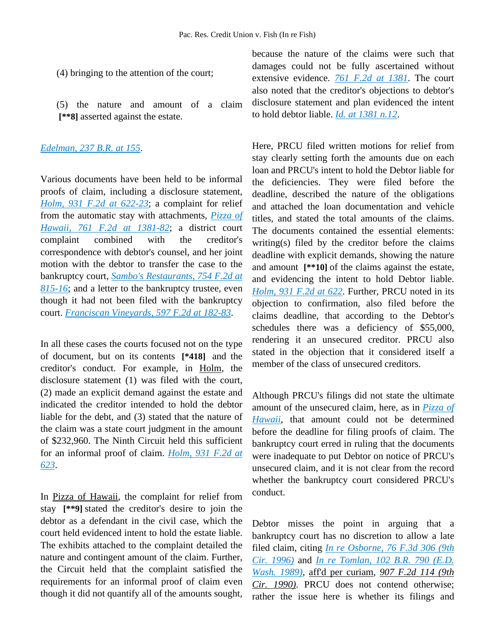- (4) bringing to the attention of the court;
- (5) the nature and amount of a claim **[\*\*8]** asserted against the estate.

#### *[Edelman, 237 B.R. at 155](http://advance.lexis.com/api/document?collection=cases&id=urn:contentItem:3X5Y-2MK0-0039-01W0-00000-00&context=1000516)*.

Various documents have been held to be informal proofs of claim, including a disclosure statement, *[Holm, 931 F.2d at 622-23](http://advance.lexis.com/api/document?collection=cases&id=urn:contentItem:3S4X-DCV0-008H-V4Y8-00000-00&context=1000516)*; a complaint for relief from the automatic stay with attachments, *[Pizza of](http://advance.lexis.com/api/document?collection=cases&id=urn:contentItem:3S4X-H7X0-0039-P055-00000-00&context=1000516)  [Hawaii, 761 F.2d at 1381-82](http://advance.lexis.com/api/document?collection=cases&id=urn:contentItem:3S4X-H7X0-0039-P055-00000-00&context=1000516)*; a district court complaint combined with the creditor's correspondence with debtor's counsel, and her joint motion with the debtor to transfer the case to the bankruptcy court, *[Sambo's Restaurants, 754 F.2d at](http://advance.lexis.com/api/document?collection=cases&id=urn:contentItem:3S4X-JH40-0039-P4MV-00000-00&context=1000516)  [815-16](http://advance.lexis.com/api/document?collection=cases&id=urn:contentItem:3S4X-JH40-0039-P4MV-00000-00&context=1000516)*; and a letter to the bankruptcy trustee, even though it had not been filed with the bankruptcy court. *[Franciscan Vineyards, 597 F.2d at 182-83](http://advance.lexis.com/api/document?collection=cases&id=urn:contentItem:3S4W-W1J0-0039-M24M-00000-00&context=1000516)*.

In all these cases the courts focused not on the type of document, but on its contents **[\*418]** and the creditor's conduct. For example, in Holm, the disclosure statement (1) was filed with the court, (2) made an explicit demand against the estate and indicated the creditor intended to hold the debtor liable for the debt, and (3) stated that the nature of the claim was a state court judgment in the amount of \$232,960. The Ninth Circuit held this sufficient for an informal proof of claim. *[Holm, 931 F.2d at](http://advance.lexis.com/api/document?collection=cases&id=urn:contentItem:3S4X-DCV0-008H-V4Y8-00000-00&context=1000516)  [623](http://advance.lexis.com/api/document?collection=cases&id=urn:contentItem:3S4X-DCV0-008H-V4Y8-00000-00&context=1000516)*.

In Pizza of Hawaii, the complaint for relief from stay **[\*\*9]** stated the creditor's desire to join the debtor as a defendant in the civil case, which the court held evidenced intent to hold the estate liable. The exhibits attached to the complaint detailed the nature and contingent amount of the claim. Further, the Circuit held that the complaint satisfied the requirements for an informal proof of claim even though it did not quantify all of the amounts sought,

because the nature of the claims were such that damages could not be fully ascertained without extensive evidence. *[761 F.2d at 1381](http://advance.lexis.com/api/document?collection=cases&id=urn:contentItem:3S4X-H7X0-0039-P055-00000-00&context=1000516)*. The court also noted that the creditor's objections to debtor's disclosure statement and plan evidenced the intent to hold debtor liable. *[Id. at 1381 n.12](http://advance.lexis.com/api/document?collection=cases&id=urn:contentItem:3S4X-H7X0-0039-P055-00000-00&context=1000516)*.

Here, PRCU filed written motions for relief from stay clearly setting forth the amounts due on each loan and PRCU's intent to hold the Debtor liable for the deficiencies. They were filed before the deadline, described the nature of the obligations and attached the loan documentation and vehicle titles, and stated the total amounts of the claims. The documents contained the essential elements: writing(s) filed by the creditor before the claims deadline with explicit demands, showing the nature and amount **[\*\*10]** of the claims against the estate, and evidencing the intent to hold Debtor liable. *[Holm, 931 F.2d at 622](http://advance.lexis.com/api/document?collection=cases&id=urn:contentItem:3S4X-DCV0-008H-V4Y8-00000-00&context=1000516)*. Further, PRCU noted in its objection to confirmation, also filed before the claims deadline, that according to the Debtor's schedules there was a deficiency of \$55,000, rendering it an unsecured creditor. PRCU also stated in the objection that it considered itself a member of the class of unsecured creditors.

Although PRCU's filings did not state the ultimate amount of the unsecured claim, here, as in *[Pizza of](http://advance.lexis.com/api/document?collection=cases&id=urn:contentItem:3S4X-H7X0-0039-P055-00000-00&context=1000516)  [Hawaii](http://advance.lexis.com/api/document?collection=cases&id=urn:contentItem:3S4X-H7X0-0039-P055-00000-00&context=1000516)*, that amount could not be determined before the deadline for filing proofs of claim. The bankruptcy court erred in ruling that the documents were inadequate to put Debtor on notice of PRCU's unsecured claim, and it is not clear from the record whether the bankruptcy court considered PRCU's conduct.

Debtor misses the point in arguing that a bankruptcy court has no discretion to allow a late filed claim, citing *[In re Osborne, 76 F.3d 306 \(9th](http://advance.lexis.com/api/document?collection=cases&id=urn:contentItem:3S4X-4D10-006F-M3BR-00000-00&context=1000516)  [Cir. 1996\)](http://advance.lexis.com/api/document?collection=cases&id=urn:contentItem:3S4X-4D10-006F-M3BR-00000-00&context=1000516)* and *[In re Tomlan, 102 B.R. 790 \(E.D.](http://advance.lexis.com/api/document?collection=cases&id=urn:contentItem:3S42-9VS0-0054-4135-00000-00&context=1000516)  [Wash. 1989\)](http://advance.lexis.com/api/document?collection=cases&id=urn:contentItem:3S42-9VS0-0054-4135-00000-00&context=1000516)*, aff'd per curiam, *907 F.2d 114 (9th Cir. 1990)*. PRCU does not contend otherwise; rather the issue here is whether its filings and